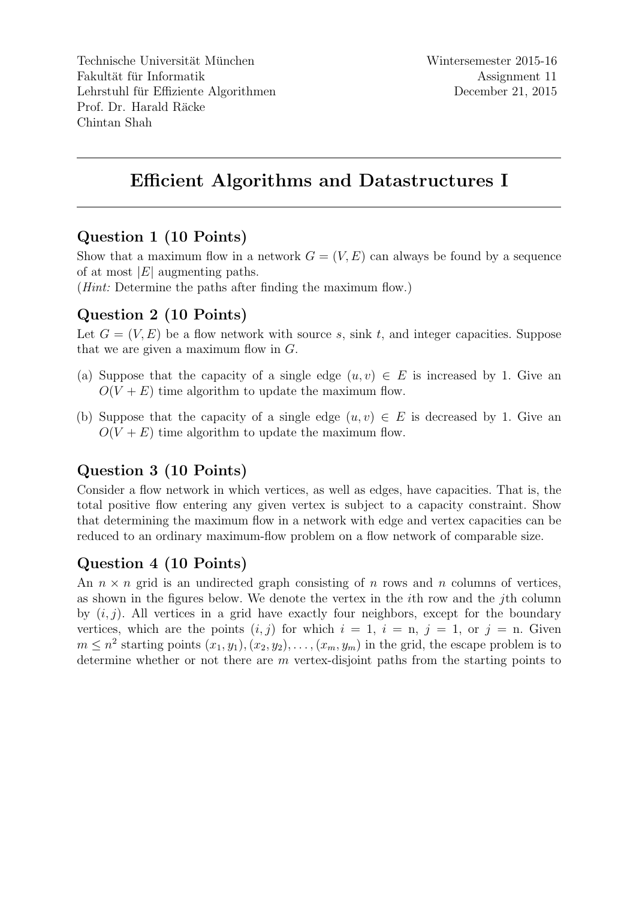Technische Universität München Fakultät für Informatik Lehrstuhl für Effiziente Algorithmen Prof. Dr. Harald Räcke Chintan Shah

# Efficient Algorithms and Datastructures I

### Question 1 (10 Points)

Show that a maximum flow in a network  $G = (V, E)$  can always be found by a sequence of at most  $|E|$  augmenting paths.

(*Hint*: Determine the paths after finding the maximum flow.)

### Question 2 (10 Points)

Let  $G = (V, E)$  be a flow network with source s, sink t, and integer capacities. Suppose that we are given a maximum flow in  $G$ .

- (a) Suppose that the capacity of a single edge  $(u, v) \in E$  is increased by 1. Give an  $O(V + E)$  time algorithm to update the maximum flow.
- (b) Suppose that the capacity of a single edge  $(u, v) \in E$  is decreased by 1. Give an  $O(V + E)$  time algorithm to update the maximum flow.

# Question 3 (10 Points)

Consider a flow network in which vertices, as well as edges, have capacities. That is, the total positive flow entering any given vertex is subject to a capacity constraint. Show that determining the maximum flow in a network with edge and vertex capacities can be reduced to an ordinary maximum-flow problem on a flow network of comparable size.

# Question 4 (10 Points)

An  $n \times n$  grid is an undirected graph consisting of n rows and n columns of vertices, as shown in the figures below. We denote the vertex in the ith row and the jth column by  $(i, j)$ . All vertices in a grid have exactly four neighbors, except for the boundary vertices, which are the points  $(i, j)$  for which  $i = 1$ ,  $i = n$ ,  $j = 1$ , or  $j = n$ . Given  $m \leq n^2$  starting points  $(x_1, y_1), (x_2, y_2), \ldots, (x_m, y_m)$  in the grid, the escape problem is to determine whether or not there are m vertex-disjoint paths from the starting points to